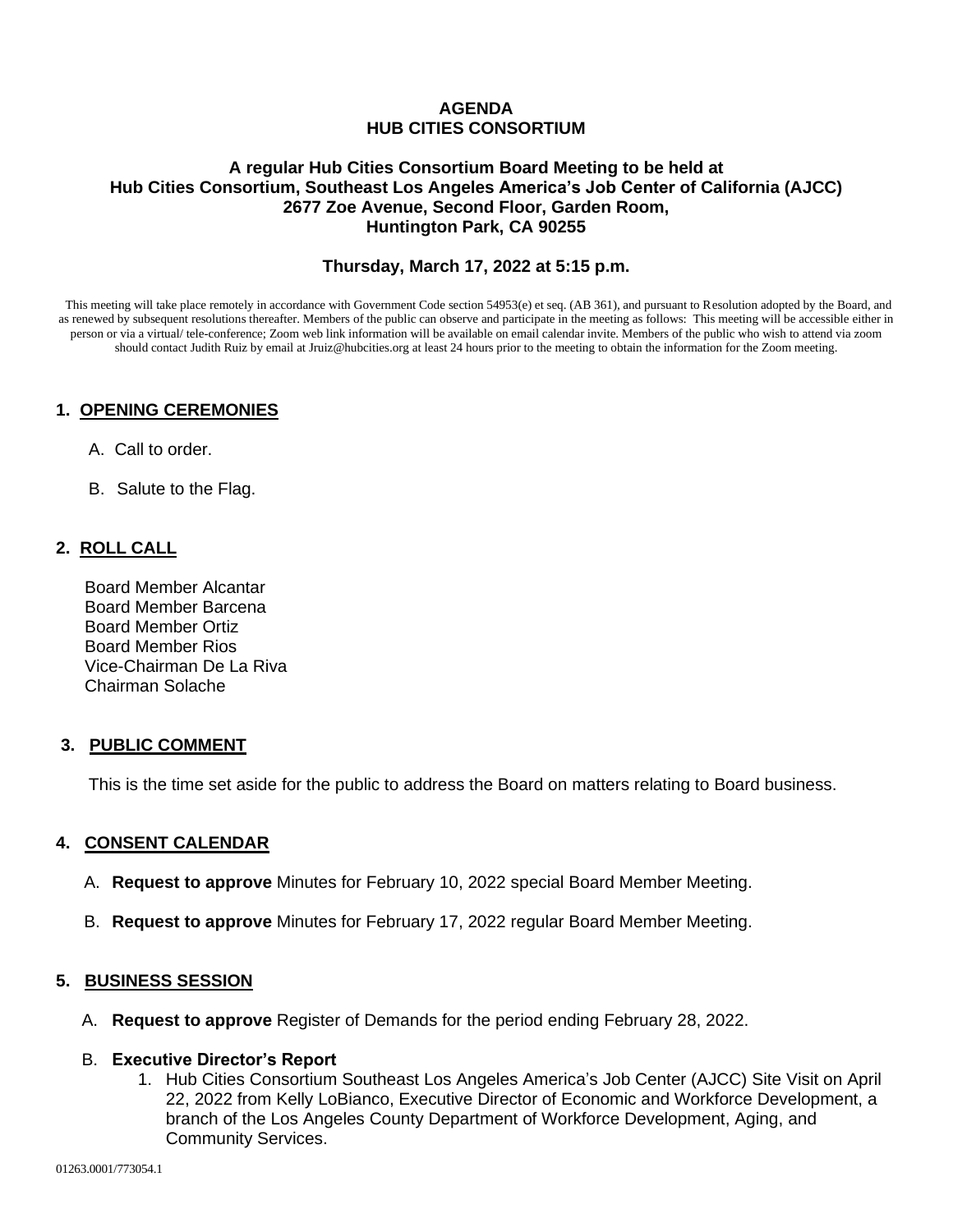## **AGENDA HUB CITIES CONSORTIUM**

## **A regular Hub Cities Consortium Board Meeting to be held at Hub Cities Consortium, Southeast Los Angeles America's Job Center of California (AJCC) 2677 Zoe Avenue, Second Floor, Garden Room, Huntington Park, CA 90255**

## **Thursday, March 17, 2022 at 5:15 p.m.**

This meeting will take place remotely in accordance with Government Code section 54953(e) et seq. (AB 361), and pursuant to Resolution adopted by the Board, and as renewed by subsequent resolutions thereafter. Members of the public can observe and participate in the meeting as follows: This meeting will be accessible either in person or via a virtual/ tele-conference; Zoom web link information will be available on email calendar invite. Members of the public who wish to attend via zoom should contact Judith Ruiz by email at Jruiz@hubcities.org at least 24 hours prior to the meeting to obtain the information for the Zoom meeting.

## **1. OPENING CEREMONIES**

- A. Call to order.
- B. Salute to the Flag.

## **2. ROLL CALL**

 Board Member Alcantar Board Member Barcena Board Member Ortiz Board Member Rios Vice-Chairman De La Riva Chairman Solache

## **3. PUBLIC COMMENT**

This is the time set aside for the public to address the Board on matters relating to Board business.

## **4. CONSENT CALENDAR**

- A. **Request to approve** Minutes for February 10, 2022 special Board Member Meeting.
- B. **Request to approve** Minutes for February 17, 2022 regular Board Member Meeting.

## **5. BUSINESS SESSION**

A. **Request to approve** Register of Demands for the period ending February 28, 2022.

#### B. **Executive Director's Report**

1. Hub Cities Consortium Southeast Los Angeles America's Job Center (AJCC) Site Visit on April 22, 2022 from Kelly LoBianco, Executive Director of Economic and Workforce Development, a branch of the Los Angeles County Department of Workforce Development, Aging, and Community Services.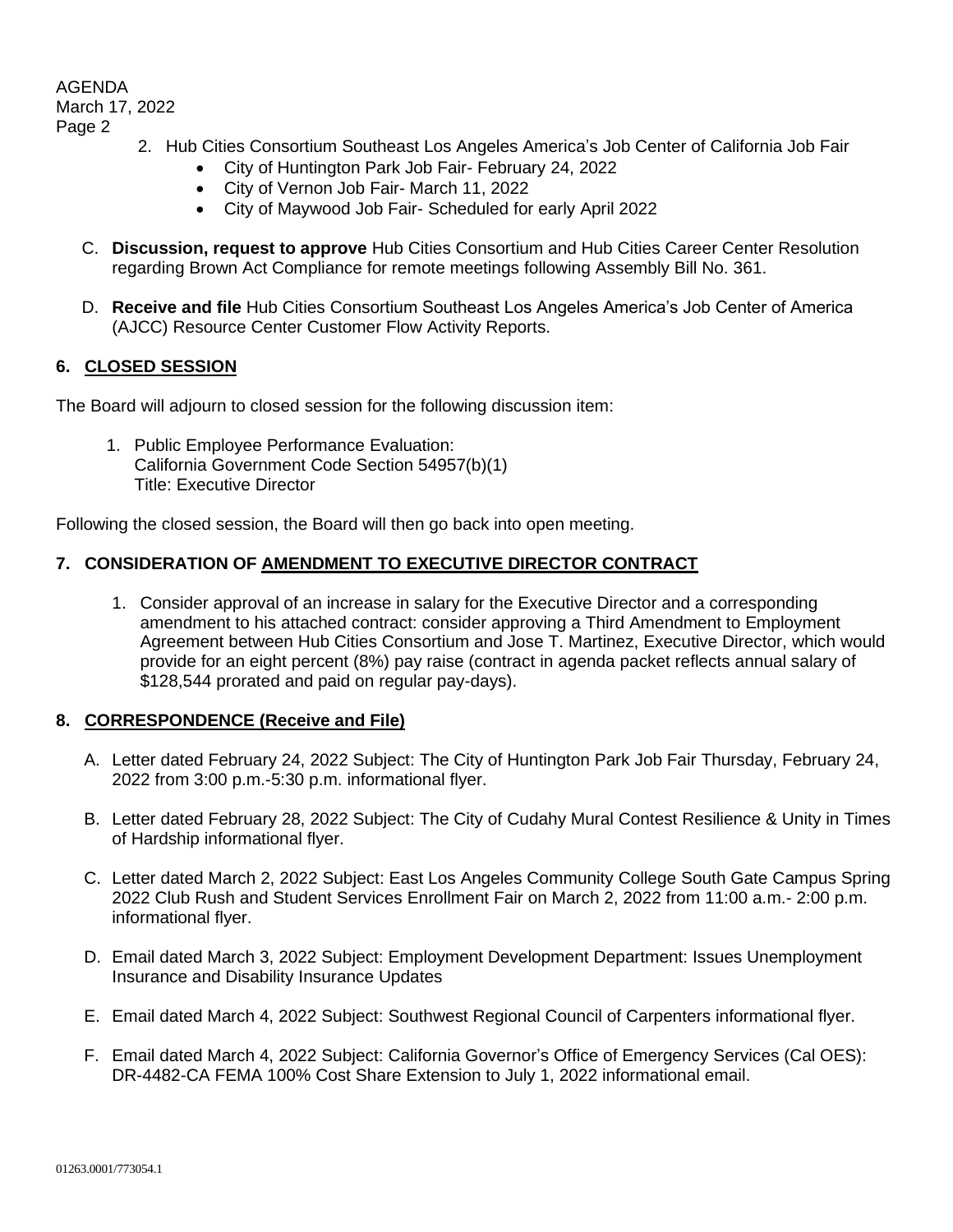# AGENDA

March 17, 2022

## Page 2

- 2. Hub Cities Consortium Southeast Los Angeles America's Job Center of California Job Fair
	- City of Huntington Park Job Fair- February 24, 2022
	- City of Vernon Job Fair- March 11, 2022
	- City of Maywood Job Fair- Scheduled for early April 2022
- C. **Discussion, request to approve** Hub Cities Consortium and Hub Cities Career Center Resolution regarding Brown Act Compliance for remote meetings following Assembly Bill No. 361.
- D. **Receive and file** Hub Cities Consortium Southeast Los Angeles America's Job Center of America (AJCC) Resource Center Customer Flow Activity Reports.

## **6. CLOSED SESSION**

The Board will adjourn to closed session for the following discussion item:

1. Public Employee Performance Evaluation: California Government Code Section 54957(b)(1) Title: Executive Director

Following the closed session, the Board will then go back into open meeting.

# **7. CONSIDERATION OF AMENDMENT TO EXECUTIVE DIRECTOR CONTRACT**

1. Consider approval of an increase in salary for the Executive Director and a corresponding amendment to his attached contract: consider approving a Third Amendment to Employment Agreement between Hub Cities Consortium and Jose T. Martinez, Executive Director, which would provide for an eight percent (8%) pay raise (contract in agenda packet reflects annual salary of \$128,544 prorated and paid on regular pay-days).

## **8. CORRESPONDENCE (Receive and File)**

- A. Letter dated February 24, 2022 Subject: The City of Huntington Park Job Fair Thursday, February 24, 2022 from 3:00 p.m.-5:30 p.m. informational flyer.
- B. Letter dated February 28, 2022 Subject: The City of Cudahy Mural Contest Resilience & Unity in Times of Hardship informational flyer.
- C. Letter dated March 2, 2022 Subject: East Los Angeles Community College South Gate Campus Spring 2022 Club Rush and Student Services Enrollment Fair on March 2, 2022 from 11:00 a.m.- 2:00 p.m. informational flyer.
- D. Email dated March 3, 2022 Subject: Employment Development Department: Issues Unemployment Insurance and Disability Insurance Updates
- E. Email dated March 4, 2022 Subject: Southwest Regional Council of Carpenters informational flyer.
- F. Email dated March 4, 2022 Subject: California Governor's Office of Emergency Services (Cal OES): DR-4482-CA FEMA 100% Cost Share Extension to July 1, 2022 informational email.